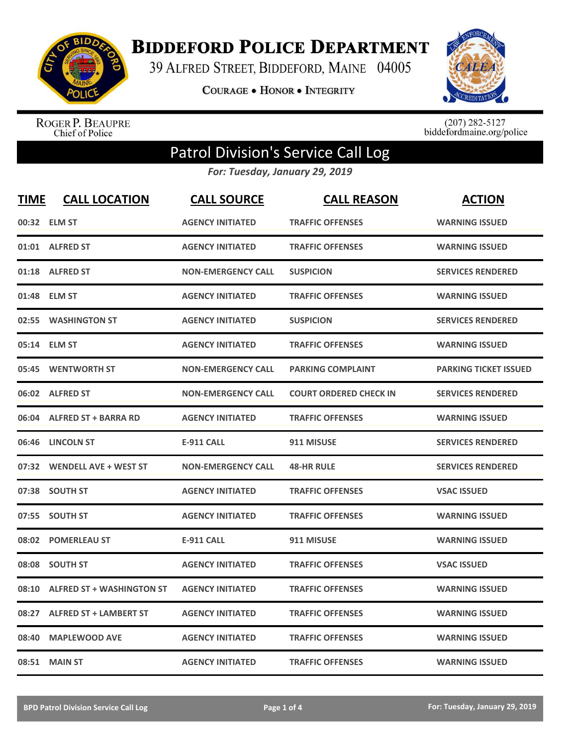

**BIDDEFORD POLICE DEPARTMENT** 

39 ALFRED STREET, BIDDEFORD, MAINE 04005

**COURAGE . HONOR . INTEGRITY** 



ROGER P. BEAUPRE<br>Chief of Police

 $(207)$  282-5127<br>biddefordmaine.org/police

## Patrol Division's Service Call Log

*For: Tuesday, January 29, 2019*

| <b>TIME</b> | <b>CALL LOCATION</b>             | <b>CALL SOURCE</b>        | <b>CALL REASON</b>            | <b>ACTION</b>                |
|-------------|----------------------------------|---------------------------|-------------------------------|------------------------------|
|             | 00:32 ELM ST                     | <b>AGENCY INITIATED</b>   | <b>TRAFFIC OFFENSES</b>       | <b>WARNING ISSUED</b>        |
|             | 01:01 ALFRED ST                  | <b>AGENCY INITIATED</b>   | <b>TRAFFIC OFFENSES</b>       | <b>WARNING ISSUED</b>        |
| 01:18       | <b>ALFRED ST</b>                 | <b>NON-EMERGENCY CALL</b> | <b>SUSPICION</b>              | <b>SERVICES RENDERED</b>     |
| 01:48       | <b>ELM ST</b>                    | <b>AGENCY INITIATED</b>   | <b>TRAFFIC OFFENSES</b>       | <b>WARNING ISSUED</b>        |
| 02:55       | <b>WASHINGTON ST</b>             | <b>AGENCY INITIATED</b>   | <b>SUSPICION</b>              | <b>SERVICES RENDERED</b>     |
|             | 05:14 ELM ST                     | <b>AGENCY INITIATED</b>   | <b>TRAFFIC OFFENSES</b>       | <b>WARNING ISSUED</b>        |
| 05:45       | <b>WENTWORTH ST</b>              | <b>NON-EMERGENCY CALL</b> | <b>PARKING COMPLAINT</b>      | <b>PARKING TICKET ISSUED</b> |
|             | 06:02 ALFRED ST                  | <b>NON-EMERGENCY CALL</b> | <b>COURT ORDERED CHECK IN</b> | <b>SERVICES RENDERED</b>     |
| 06:04       | <b>ALFRED ST + BARRA RD</b>      | <b>AGENCY INITIATED</b>   | <b>TRAFFIC OFFENSES</b>       | <b>WARNING ISSUED</b>        |
|             | 06:46 LINCOLN ST                 | <b>E-911 CALL</b>         | 911 MISUSE                    | <b>SERVICES RENDERED</b>     |
|             | 07:32 WENDELL AVE + WEST ST      | <b>NON-EMERGENCY CALL</b> | <b>48-HR RULE</b>             | <b>SERVICES RENDERED</b>     |
| 07:38       | <b>SOUTH ST</b>                  | <b>AGENCY INITIATED</b>   | <b>TRAFFIC OFFENSES</b>       | <b>VSAC ISSUED</b>           |
| 07:55       | <b>SOUTH ST</b>                  | <b>AGENCY INITIATED</b>   | <b>TRAFFIC OFFENSES</b>       | <b>WARNING ISSUED</b>        |
| 08:02       | <b>POMERLEAU ST</b>              | <b>E-911 CALL</b>         | 911 MISUSE                    | <b>WARNING ISSUED</b>        |
| 08:08       | <b>SOUTH ST</b>                  | <b>AGENCY INITIATED</b>   | <b>TRAFFIC OFFENSES</b>       | <b>VSAC ISSUED</b>           |
| 08:10       | <b>ALFRED ST + WASHINGTON ST</b> | <b>AGENCY INITIATED</b>   | <b>TRAFFIC OFFENSES</b>       | <b>WARNING ISSUED</b>        |
| 08:27       | <b>ALFRED ST + LAMBERT ST</b>    | <b>AGENCY INITIATED</b>   | <b>TRAFFIC OFFENSES</b>       | <b>WARNING ISSUED</b>        |
| 08:40       | <b>MAPLEWOOD AVE</b>             | <b>AGENCY INITIATED</b>   | <b>TRAFFIC OFFENSES</b>       | <b>WARNING ISSUED</b>        |
|             | 08:51 MAIN ST                    | <b>AGENCY INITIATED</b>   | <b>TRAFFIC OFFENSES</b>       | <b>WARNING ISSUED</b>        |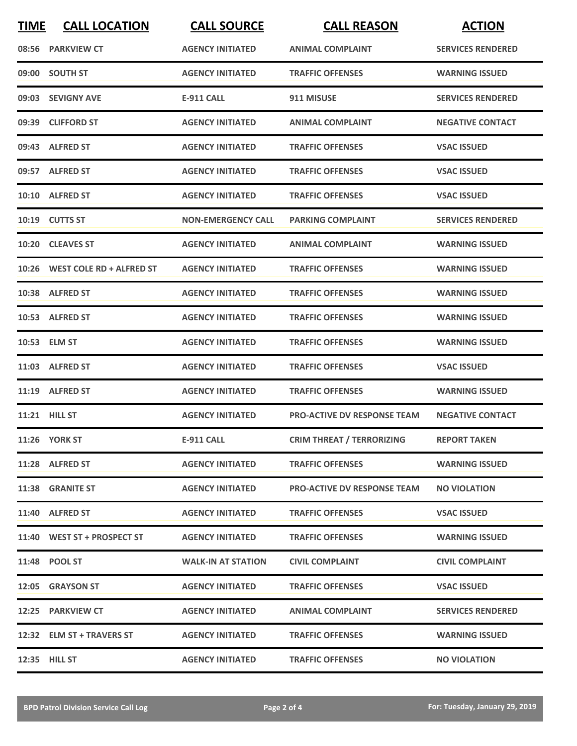| <b>TIME</b> | <b>CALL LOCATION</b>           | <b>CALL SOURCE</b>        | <b>CALL REASON</b>                 | <b>ACTION</b>            |
|-------------|--------------------------------|---------------------------|------------------------------------|--------------------------|
|             | 08:56 PARKVIEW CT              | <b>AGENCY INITIATED</b>   | <b>ANIMAL COMPLAINT</b>            | <b>SERVICES RENDERED</b> |
|             | 09:00 SOUTH ST                 | <b>AGENCY INITIATED</b>   | <b>TRAFFIC OFFENSES</b>            | <b>WARNING ISSUED</b>    |
|             | 09:03 SEVIGNY AVE              | E-911 CALL                | 911 MISUSE                         | <b>SERVICES RENDERED</b> |
|             | 09:39 CLIFFORD ST              | <b>AGENCY INITIATED</b>   | <b>ANIMAL COMPLAINT</b>            | <b>NEGATIVE CONTACT</b>  |
|             | 09:43 ALFRED ST                | <b>AGENCY INITIATED</b>   | <b>TRAFFIC OFFENSES</b>            | <b>VSAC ISSUED</b>       |
|             | 09:57 ALFRED ST                | <b>AGENCY INITIATED</b>   | <b>TRAFFIC OFFENSES</b>            | <b>VSAC ISSUED</b>       |
|             | 10:10 ALFRED ST                | <b>AGENCY INITIATED</b>   | <b>TRAFFIC OFFENSES</b>            | <b>VSAC ISSUED</b>       |
|             | 10:19 CUTTS ST                 | <b>NON-EMERGENCY CALL</b> | <b>PARKING COMPLAINT</b>           | <b>SERVICES RENDERED</b> |
|             | 10:20 CLEAVES ST               | <b>AGENCY INITIATED</b>   | <b>ANIMAL COMPLAINT</b>            | <b>WARNING ISSUED</b>    |
|             | 10:26 WEST COLE RD + ALFRED ST | <b>AGENCY INITIATED</b>   | <b>TRAFFIC OFFENSES</b>            | <b>WARNING ISSUED</b>    |
|             | 10:38 ALFRED ST                | <b>AGENCY INITIATED</b>   | <b>TRAFFIC OFFENSES</b>            | <b>WARNING ISSUED</b>    |
|             | 10:53 ALFRED ST                | <b>AGENCY INITIATED</b>   | <b>TRAFFIC OFFENSES</b>            | <b>WARNING ISSUED</b>    |
|             | 10:53 ELM ST                   | <b>AGENCY INITIATED</b>   | <b>TRAFFIC OFFENSES</b>            | <b>WARNING ISSUED</b>    |
|             | 11:03 ALFRED ST                | <b>AGENCY INITIATED</b>   | <b>TRAFFIC OFFENSES</b>            | <b>VSAC ISSUED</b>       |
|             | 11:19 ALFRED ST                | <b>AGENCY INITIATED</b>   | <b>TRAFFIC OFFENSES</b>            | <b>WARNING ISSUED</b>    |
|             | <b>11:21 HILL ST</b>           | <b>AGENCY INITIATED</b>   | PRO-ACTIVE DV RESPONSE TEAM        | <b>NEGATIVE CONTACT</b>  |
|             | 11:26 YORK ST                  | <b>E-911 CALL</b>         | <b>CRIM THREAT / TERRORIZING</b>   | <b>REPORT TAKEN</b>      |
|             | 11:28 ALFRED ST                | <b>AGENCY INITIATED</b>   | <b>TRAFFIC OFFENSES</b>            | <b>WARNING ISSUED</b>    |
|             | 11:38 GRANITE ST               | <b>AGENCY INITIATED</b>   | <b>PRO-ACTIVE DV RESPONSE TEAM</b> | <b>NO VIOLATION</b>      |
|             | 11:40 ALFRED ST                | <b>AGENCY INITIATED</b>   | <b>TRAFFIC OFFENSES</b>            | <b>VSAC ISSUED</b>       |
|             | 11:40 WEST ST + PROSPECT ST    | <b>AGENCY INITIATED</b>   | <b>TRAFFIC OFFENSES</b>            | <b>WARNING ISSUED</b>    |
|             | 11:48 POOL ST                  | <b>WALK-IN AT STATION</b> | <b>CIVIL COMPLAINT</b>             | <b>CIVIL COMPLAINT</b>   |
|             | 12:05 GRAYSON ST               | <b>AGENCY INITIATED</b>   | <b>TRAFFIC OFFENSES</b>            | <b>VSAC ISSUED</b>       |
|             | 12:25 PARKVIEW CT              | <b>AGENCY INITIATED</b>   | <b>ANIMAL COMPLAINT</b>            | <b>SERVICES RENDERED</b> |
|             | 12:32 ELM ST + TRAVERS ST      | <b>AGENCY INITIATED</b>   | <b>TRAFFIC OFFENSES</b>            | <b>WARNING ISSUED</b>    |
|             | 12:35 HILL ST                  | <b>AGENCY INITIATED</b>   | <b>TRAFFIC OFFENSES</b>            | <b>NO VIOLATION</b>      |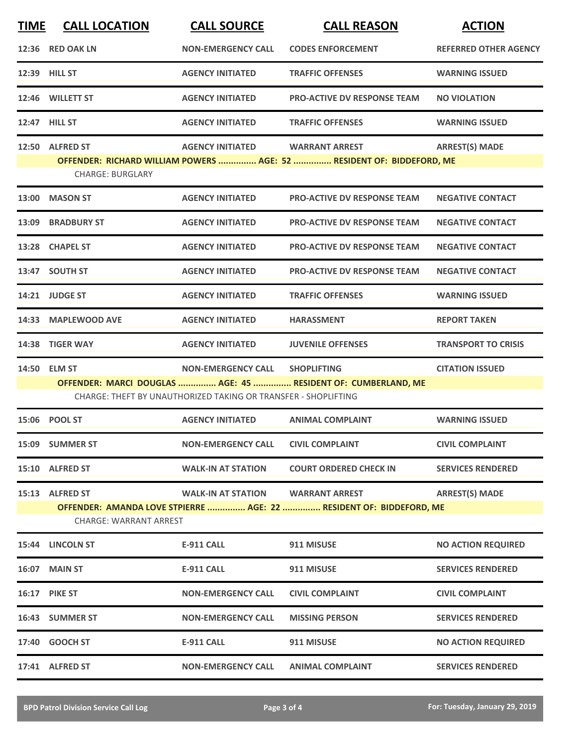| <b>TIME</b> | <b>CALL LOCATION</b>          | <b>CALL SOURCE</b>                                             | <b>CALL REASON</b>                                                                  | <b>ACTION</b>                |
|-------------|-------------------------------|----------------------------------------------------------------|-------------------------------------------------------------------------------------|------------------------------|
|             | 12:36 RED OAK LN              | <b>NON-EMERGENCY CALL</b>                                      | <b>CODES ENFORCEMENT</b>                                                            | <b>REFERRED OTHER AGENCY</b> |
|             | 12:39 HILL ST                 | <b>AGENCY INITIATED</b>                                        | <b>TRAFFIC OFFENSES</b>                                                             | <b>WARNING ISSUED</b>        |
|             | 12:46 WILLETT ST              | <b>AGENCY INITIATED</b>                                        | <b>PRO-ACTIVE DV RESPONSE TEAM</b>                                                  | <b>NO VIOLATION</b>          |
|             | 12:47 HILL ST                 | <b>AGENCY INITIATED</b>                                        | <b>TRAFFIC OFFENSES</b>                                                             | <b>WARNING ISSUED</b>        |
|             | 12:50 ALFRED ST               | <b>AGENCY INITIATED</b>                                        | <b>WARRANT ARREST</b>                                                               | <b>ARREST(S) MADE</b>        |
|             | <b>CHARGE: BURGLARY</b>       |                                                                | OFFENDER: RICHARD WILLIAM POWERS  AGE: 52  RESIDENT OF: BIDDEFORD, ME               |                              |
|             | 13:00 MASON ST                | <b>AGENCY INITIATED</b>                                        | <b>PRO-ACTIVE DV RESPONSE TEAM</b>                                                  | <b>NEGATIVE CONTACT</b>      |
|             | 13:09 BRADBURY ST             | <b>AGENCY INITIATED</b>                                        | <b>PRO-ACTIVE DV RESPONSE TEAM</b>                                                  | <b>NEGATIVE CONTACT</b>      |
|             | 13:28 CHAPEL ST               | <b>AGENCY INITIATED</b>                                        | <b>PRO-ACTIVE DV RESPONSE TEAM</b>                                                  | <b>NEGATIVE CONTACT</b>      |
|             | 13:47 SOUTH ST                | <b>AGENCY INITIATED</b>                                        | <b>PRO-ACTIVE DV RESPONSE TEAM</b>                                                  | <b>NEGATIVE CONTACT</b>      |
|             | 14:21 JUDGE ST                | <b>AGENCY INITIATED</b>                                        | <b>TRAFFIC OFFENSES</b>                                                             | <b>WARNING ISSUED</b>        |
|             | 14:33 MAPLEWOOD AVE           | <b>AGENCY INITIATED</b>                                        | <b>HARASSMENT</b>                                                                   | <b>REPORT TAKEN</b>          |
| 14:38       | <b>TIGER WAY</b>              | <b>AGENCY INITIATED</b>                                        | <b>JUVENILE OFFENSES</b>                                                            | <b>TRANSPORT TO CRISIS</b>   |
|             | 14:50 ELM ST                  | <b>NON-EMERGENCY CALL</b>                                      | <b>SHOPLIFTING</b><br>OFFENDER: MARCI DOUGLAS  AGE: 45  RESIDENT OF: CUMBERLAND, ME | <b>CITATION ISSUED</b>       |
|             |                               | CHARGE: THEFT BY UNAUTHORIZED TAKING OR TRANSFER - SHOPLIFTING |                                                                                     |                              |
|             | 15:06 POOL ST                 | <b>AGENCY INITIATED</b>                                        | <b>ANIMAL COMPLAINT</b>                                                             | <b>WARNING ISSUED</b>        |
|             | 15:09 SUMMER ST               | <b>NON-EMERGENCY CALL</b>                                      | <b>CIVIL COMPLAINT</b>                                                              | <b>CIVIL COMPLAINT</b>       |
|             | 15:10 ALFRED ST               | <b>WALK-IN AT STATION</b>                                      | <b>COURT ORDERED CHECK IN</b>                                                       | <b>SERVICES RENDERED</b>     |
|             | 15:13 ALFRED ST               | <b>WALK-IN AT STATION</b>                                      | <b>WARRANT ARREST</b>                                                               | <b>ARREST(S) MADE</b>        |
|             | <b>CHARGE: WARRANT ARREST</b> |                                                                | OFFENDER: AMANDA LOVE STPIERRE  AGE: 22  RESIDENT OF: BIDDEFORD, ME                 |                              |
|             | 15:44 LINCOLN ST              | <b>E-911 CALL</b>                                              | 911 MISUSE                                                                          | <b>NO ACTION REQUIRED</b>    |
|             | 16:07 MAIN ST                 | <b>E-911 CALL</b>                                              | 911 MISUSE                                                                          | <b>SERVICES RENDERED</b>     |
|             | <b>16:17 PIKE ST</b>          | <b>NON-EMERGENCY CALL</b>                                      | <b>CIVIL COMPLAINT</b>                                                              | <b>CIVIL COMPLAINT</b>       |
|             | 16:43 SUMMER ST               | <b>NON-EMERGENCY CALL</b>                                      | <b>MISSING PERSON</b>                                                               | <b>SERVICES RENDERED</b>     |
|             | 17:40 GOOCH ST                | E-911 CALL                                                     | 911 MISUSE                                                                          | <b>NO ACTION REQUIRED</b>    |
|             | 17:41 ALFRED ST               | <b>NON-EMERGENCY CALL</b>                                      | <b>ANIMAL COMPLAINT</b>                                                             | <b>SERVICES RENDERED</b>     |
|             |                               |                                                                |                                                                                     |                              |